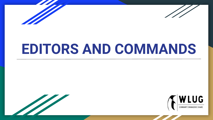



# **EDITORS AND COMMANDS**



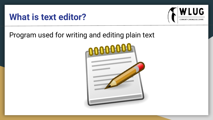### **What is text editor?**



Program used for writing and editing plain text

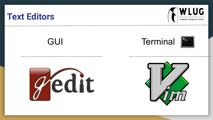#### **Text Editors**



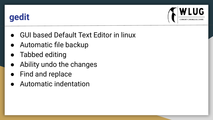## **gedit**



- **GUI based Default Text Editor in linux**
- Automatic file backup
- **Tabbed editing**
- Ability undo the changes
- Find and replace
- Automatic indentation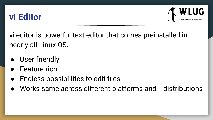## **vi Editor**



vi editor is powerful text editor that comes preinstalled in nearly all Linux OS.

- User friendly
- **Feature rich**
- Endless possibilities to edit files
- Works same across different platforms and distributions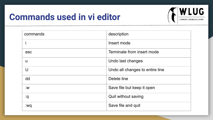## **Commands used in vi editor**



| commands | description                     |
|----------|---------------------------------|
|          | Insert mode                     |
| esc      | Terminate from insert mode      |
| u        | Undo last changes               |
| $\cup$   | Undo all changes to entire line |
| dd       | Delete line                     |
| :W       | Save file but keep it open      |
| :q       | Quit without saving             |
| :wq      | Save file and quit              |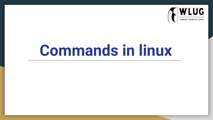

# **Commands in linux**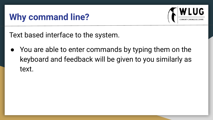## **Why command line?**



Text based interface to the system.

You are able to enter commands by typing them on the keyboard and feedback will be given to you similarly as text.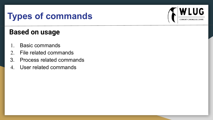## **Types of commands**

#### **Based on usage**

- 1. Basic commands
- 2. File related commands
- 3. Process related commands
- 4. User related commands

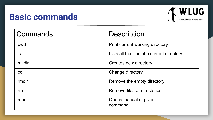## **Basic commands**



| Commands | <b>Description</b>                         |
|----------|--------------------------------------------|
| pwd      | Print current working directory            |
| ls       | Lists all the files of a current directory |
| mkdir    | Creates new directory                      |
| cd       | Change directory                           |
| rmdir    | Remove the empty directory                 |
| rm       | Remove files or directories                |
| man      | Opens manual of given<br>command           |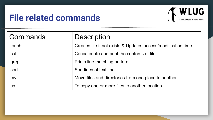## **File related commands**



| Commands | <b>Description</b>                                            |
|----------|---------------------------------------------------------------|
| touch    | Creates file if not exists & Updates access/modification time |
| cat      | Concatenate and print the contents of file                    |
| grep     | Prints line matching pattern                                  |
| sort     | Sort lines of text line                                       |
| mv       | Move files and directories from one place to another          |
| cр       | To copy one or more files to another location                 |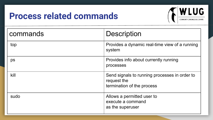## **Process related commands**



| commands | <b>Description</b>                                                                         |
|----------|--------------------------------------------------------------------------------------------|
| top      | Provides a dynamic real-time view of a running<br>system                                   |
| ps       | Provides info about currently running<br>processes                                         |
| kill     | Send signals to running processes in order to<br>request the<br>termination of the process |
| sudo     | Allows a permitted user to<br>execute a command<br>as the superuser                        |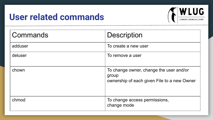## **User related commands**



| Commands | <b>Description</b>                                                                              |
|----------|-------------------------------------------------------------------------------------------------|
| adduser  | To create a new user                                                                            |
| deluser  | To remove a user                                                                                |
| chown    | To change owner, change the user and/or<br>group<br>ownership of each given File to a new Owner |
| chmod    | To change access permissions,<br>change mode                                                    |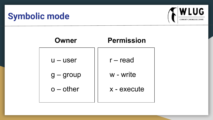## **Symbolic mode**